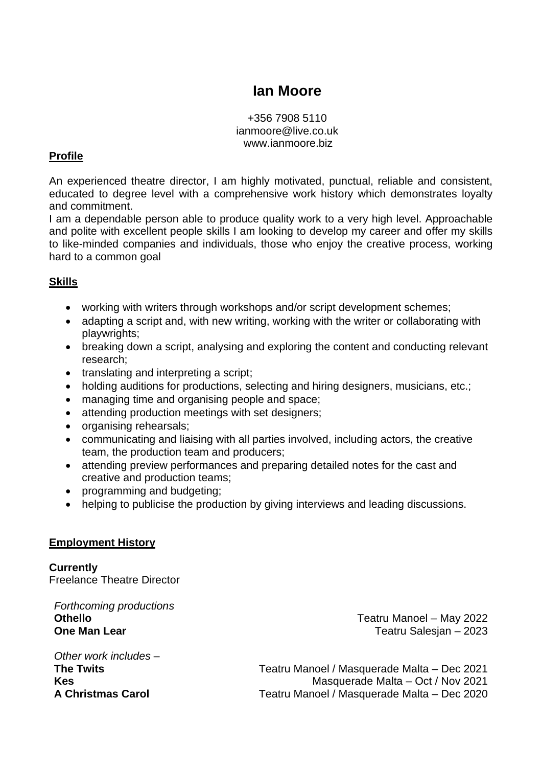# **Ian Moore**

+356 7908 5110 ianmoore@live.co.uk www.ianmoore.biz

## **Profile**

An experienced theatre director, I am highly motivated, punctual, reliable and consistent, educated to degree level with a comprehensive work history which demonstrates loyalty and commitment.

I am a dependable person able to produce quality work to a very high level. Approachable and polite with excellent people skills I am looking to develop my career and offer my skills to like-minded companies and individuals, those who enjoy the creative process, working hard to a common goal

## **Skills**

- working with writers through workshops and/or script development schemes;
- adapting a script and, with new writing, working with the writer or collaborating with playwrights;
- breaking down a script, analysing and exploring the content and conducting relevant research;
- translating and interpreting a script;
- holding auditions for productions, selecting and hiring designers, musicians, etc.;
- managing time and organising people and space;
- attending production meetings with set designers;
- organising rehearsals;
- communicating and liaising with all parties involved, including actors, the creative team, the production team and producers;
- attending preview performances and preparing detailed notes for the cast and creative and production teams;
- programming and budgeting;
- helping to publicise the production by giving interviews and leading discussions.

#### **Employment History**

**Currently**  Freelance Theatre Director

*Forthcoming productions* **Othello One Man Lear**

Teatru Manoel – May 2022 Teatru Salesjan – 2023

*Other work includes –* **The Twits Kes A Christmas Carol**

Teatru Manoel / Masquerade Malta – Dec 2021 Masquerade Malta – Oct / Nov 2021 Teatru Manoel / Masquerade Malta – Dec 2020